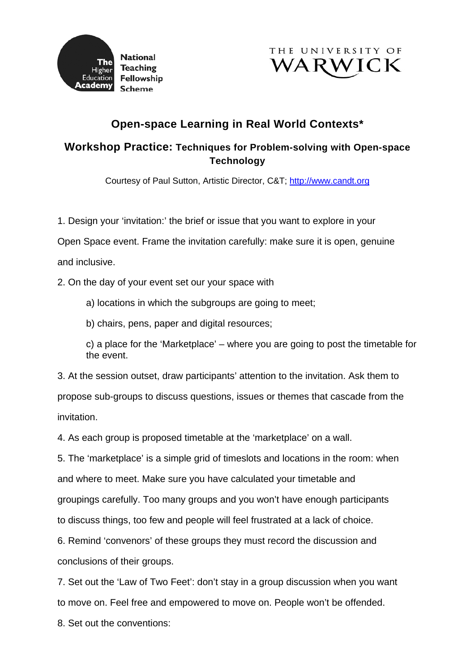



## **Open-space Learning in Real World Contexts\***

## **Workshop Practice: Techniques for Problem-solving with Open-space Technology**

Courtesy of Paul Sutton, Artistic Director, C&T; [http://www.candt.org](http://www.candt.org/)

1. Design your 'invitation:' the brief or issue that you want to explore in your

Open Space event. Frame the invitation carefully: make sure it is open, genuine and inclusive.

2. On the day of your event set our your space with

a) locations in which the subgroups are going to meet;

b) chairs, pens, paper and digital resources;

c) a place for the 'Marketplace' – where you are going to post the timetable for the event.

3. At the session outset, draw participants' attention to the invitation. Ask them to propose sub-groups to discuss questions, issues or themes that cascade from the invitation.

4. As each group is proposed timetable at the 'marketplace' on a wall.

5. The 'marketplace' is a simple grid of timeslots and locations in the room: when

and where to meet. Make sure you have calculated your timetable and

groupings carefully. Too many groups and you won't have enough participants

to discuss things, too few and people will feel frustrated at a lack of choice.

6. Remind 'convenors' of these groups they must record the discussion and conclusions of their groups.

7. Set out the 'Law of Two Feet': don't stay in a group discussion when you want to move on. Feel free and empowered to move on. People won't be offended.

8. Set out the conventions: